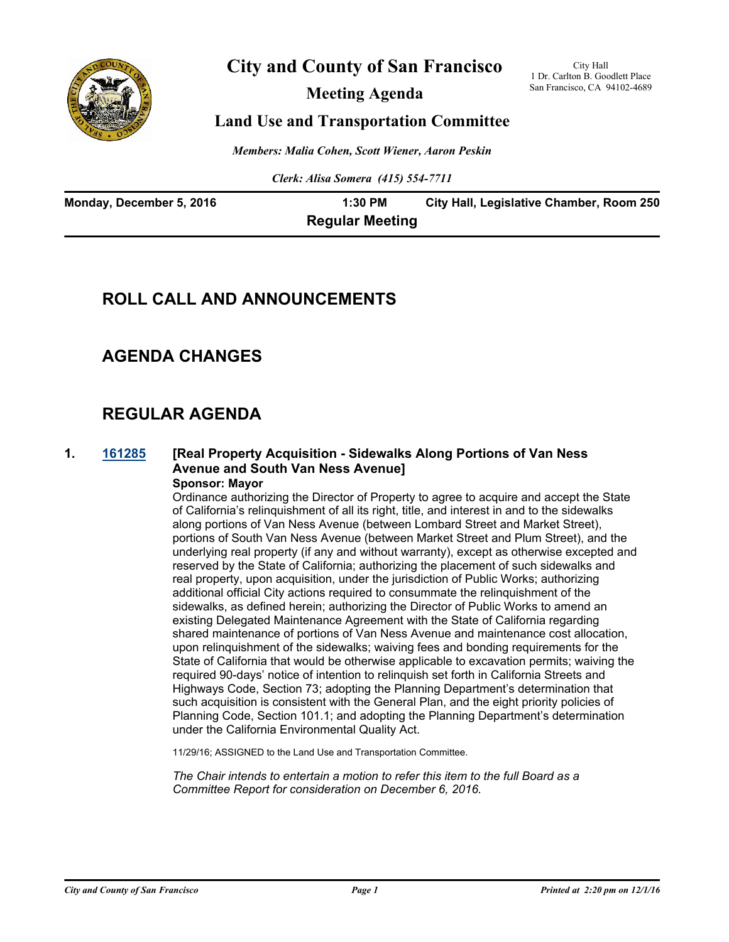

# **City and County of San Francisco**

**Meeting Agenda**

City Hall 1 Dr. Carlton B. Goodlett Place San Francisco, CA 94102-4689

## **Land Use and Transportation Committee**

*Members: Malia Cohen, Scott Wiener, Aaron Peskin*

*Clerk: Alisa Somera (415) 554-7711*

| Monday, December 5, 2016 | 1:30 PM                | City Hall, Legislative Chamber, Room 250 |
|--------------------------|------------------------|------------------------------------------|
|                          | <b>Regular Meeting</b> |                                          |

# **ROLL CALL AND ANNOUNCEMENTS**

# **AGENDA CHANGES**

# **REGULAR AGENDA**

#### **1. [161285](http://sfgov.legistar.com/gateway.aspx?m=l&id=31490) [Real Property Acquisition - Sidewalks Along Portions of Van Ness Avenue and South Van Ness Avenue] Sponsor: Mayor**

Ordinance authorizing the Director of Property to agree to acquire and accept the State of California's relinquishment of all its right, title, and interest in and to the sidewalks along portions of Van Ness Avenue (between Lombard Street and Market Street), portions of South Van Ness Avenue (between Market Street and Plum Street), and the underlying real property (if any and without warranty), except as otherwise excepted and reserved by the State of California; authorizing the placement of such sidewalks and real property, upon acquisition, under the jurisdiction of Public Works; authorizing additional official City actions required to consummate the relinquishment of the sidewalks, as defined herein; authorizing the Director of Public Works to amend an existing Delegated Maintenance Agreement with the State of California regarding shared maintenance of portions of Van Ness Avenue and maintenance cost allocation, upon relinquishment of the sidewalks; waiving fees and bonding requirements for the State of California that would be otherwise applicable to excavation permits; waiving the required 90-days' notice of intention to relinquish set forth in California Streets and Highways Code, Section 73; adopting the Planning Department's determination that such acquisition is consistent with the General Plan, and the eight priority policies of Planning Code, Section 101.1; and adopting the Planning Department's determination under the California Environmental Quality Act.

11/29/16; ASSIGNED to the Land Use and Transportation Committee.

*The Chair intends to entertain a motion to refer this item to the full Board as a Committee Report for consideration on December 6, 2016.*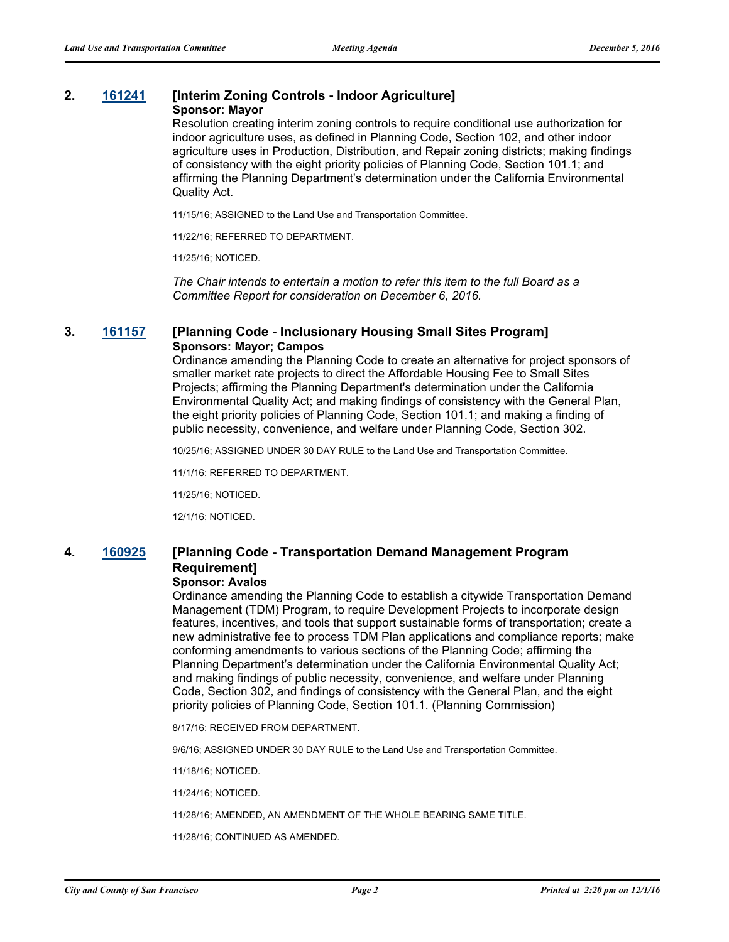### **2. [161241](http://sfgov.legistar.com/gateway.aspx?m=l&id=31446) [Interim Zoning Controls - Indoor Agriculture]**

#### **Sponsor: Mayor**

Resolution creating interim zoning controls to require conditional use authorization for indoor agriculture uses, as defined in Planning Code, Section 102, and other indoor agriculture uses in Production, Distribution, and Repair zoning districts; making findings of consistency with the eight priority policies of Planning Code, Section 101.1; and affirming the Planning Department's determination under the California Environmental Quality Act.

11/15/16; ASSIGNED to the Land Use and Transportation Committee.

11/22/16; REFERRED TO DEPARTMENT.

11/25/16; NOTICED.

*The Chair intends to entertain a motion to refer this item to the full Board as a Committee Report for consideration on December 6, 2016.*

### **3. [161157](http://sfgov.legistar.com/gateway.aspx?m=l&id=31362) [Planning Code - Inclusionary Housing Small Sites Program] Sponsors: Mayor; Campos**

Ordinance amending the Planning Code to create an alternative for project sponsors of smaller market rate projects to direct the Affordable Housing Fee to Small Sites Projects; affirming the Planning Department's determination under the California Environmental Quality Act; and making findings of consistency with the General Plan, the eight priority policies of Planning Code, Section 101.1; and making a finding of public necessity, convenience, and welfare under Planning Code, Section 302.

10/25/16; ASSIGNED UNDER 30 DAY RULE to the Land Use and Transportation Committee.

11/1/16; REFERRED TO DEPARTMENT.

11/25/16; NOTICED.

12/1/16; NOTICED.

# **4. [160925](http://sfgov.legistar.com/gateway.aspx?m=l&id=31130) [Planning Code - Transportation Demand Management Program Requirement]**

#### **Sponsor: Avalos**

Ordinance amending the Planning Code to establish a citywide Transportation Demand Management (TDM) Program, to require Development Projects to incorporate design features, incentives, and tools that support sustainable forms of transportation; create a new administrative fee to process TDM Plan applications and compliance reports; make conforming amendments to various sections of the Planning Code; affirming the Planning Department's determination under the California Environmental Quality Act; and making findings of public necessity, convenience, and welfare under Planning Code, Section 302, and findings of consistency with the General Plan, and the eight priority policies of Planning Code, Section 101.1. (Planning Commission)

8/17/16; RECEIVED FROM DEPARTMENT.

9/6/16; ASSIGNED UNDER 30 DAY RULE to the Land Use and Transportation Committee.

11/18/16; NOTICED.

11/24/16; NOTICED.

11/28/16; AMENDED, AN AMENDMENT OF THE WHOLE BEARING SAME TITLE.

11/28/16; CONTINUED AS AMENDED.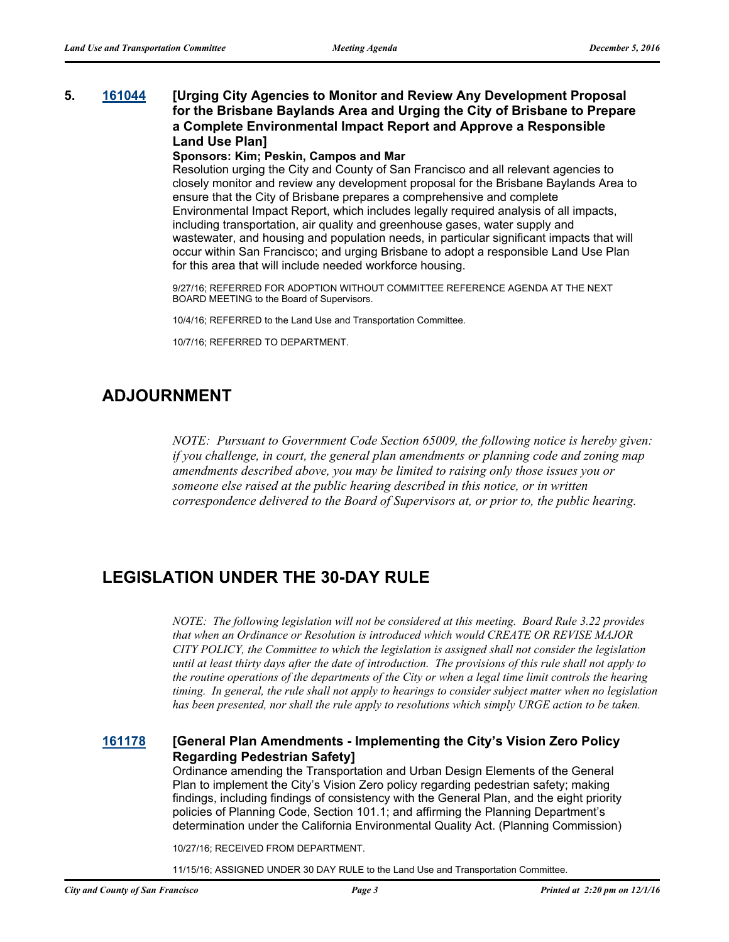### **5. [161044](http://sfgov.legistar.com/gateway.aspx?m=l&id=31249) [Urging City Agencies to Monitor and Review Any Development Proposal for the Brisbane Baylands Area and Urging the City of Brisbane to Prepare a Complete Environmental Impact Report and Approve a Responsible Land Use Plan]**

#### **Sponsors: Kim; Peskin, Campos and Mar**

Resolution urging the City and County of San Francisco and all relevant agencies to closely monitor and review any development proposal for the Brisbane Baylands Area to ensure that the City of Brisbane prepares a comprehensive and complete Environmental Impact Report, which includes legally required analysis of all impacts, including transportation, air quality and greenhouse gases, water supply and wastewater, and housing and population needs, in particular significant impacts that will occur within San Francisco; and urging Brisbane to adopt a responsible Land Use Plan for this area that will include needed workforce housing.

9/27/16; REFERRED FOR ADOPTION WITHOUT COMMITTEE REFERENCE AGENDA AT THE NEXT BOARD MEETING to the Board of Supervisors.

10/4/16; REFERRED to the Land Use and Transportation Committee.

10/7/16; REFERRED TO DEPARTMENT.

# **ADJOURNMENT**

*NOTE: Pursuant to Government Code Section 65009, the following notice is hereby given: if you challenge, in court, the general plan amendments or planning code and zoning map amendments described above, you may be limited to raising only those issues you or someone else raised at the public hearing described in this notice, or in written correspondence delivered to the Board of Supervisors at, or prior to, the public hearing.*

# **LEGISLATION UNDER THE 30-DAY RULE**

*NOTE: The following legislation will not be considered at this meeting. Board Rule 3.22 provides that when an Ordinance or Resolution is introduced which would CREATE OR REVISE MAJOR CITY POLICY, the Committee to which the legislation is assigned shall not consider the legislation until at least thirty days after the date of introduction. The provisions of this rule shall not apply to the routine operations of the departments of the City or when a legal time limit controls the hearing timing. In general, the rule shall not apply to hearings to consider subject matter when no legislation has been presented, nor shall the rule apply to resolutions which simply URGE action to be taken.*

### **[161178](http://sfgov.legistar.com/gateway.aspx?m=l&id=31383) [General Plan Amendments - Implementing the City's Vision Zero Policy Regarding Pedestrian Safety]**

Ordinance amending the Transportation and Urban Design Elements of the General Plan to implement the City's Vision Zero policy regarding pedestrian safety; making findings, including findings of consistency with the General Plan, and the eight priority policies of Planning Code, Section 101.1; and affirming the Planning Department's determination under the California Environmental Quality Act. (Planning Commission)

10/27/16; RECEIVED FROM DEPARTMENT.

11/15/16; ASSIGNED UNDER 30 DAY RULE to the Land Use and Transportation Committee.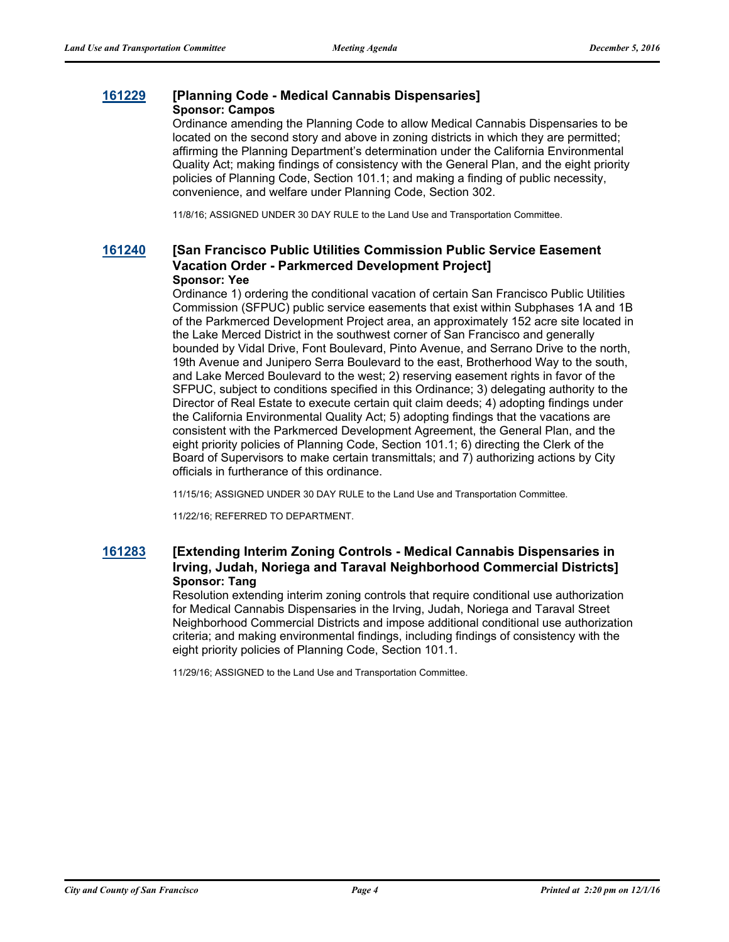#### **[161229](http://sfgov.legistar.com/gateway.aspx?m=l&id=31434) [Planning Code - Medical Cannabis Dispensaries] Sponsor: Campos**

Ordinance amending the Planning Code to allow Medical Cannabis Dispensaries to be located on the second story and above in zoning districts in which they are permitted; affirming the Planning Department's determination under the California Environmental Quality Act; making findings of consistency with the General Plan, and the eight priority policies of Planning Code, Section 101.1; and making a finding of public necessity, convenience, and welfare under Planning Code, Section 302.

11/8/16; ASSIGNED UNDER 30 DAY RULE to the Land Use and Transportation Committee.

#### **[161240](http://sfgov.legistar.com/gateway.aspx?m=l&id=31445) [San Francisco Public Utilities Commission Public Service Easement Vacation Order - Parkmerced Development Project] Sponsor: Yee**

Ordinance 1) ordering the conditional vacation of certain San Francisco Public Utilities Commission (SFPUC) public service easements that exist within Subphases 1A and 1B of the Parkmerced Development Project area, an approximately 152 acre site located in the Lake Merced District in the southwest corner of San Francisco and generally bounded by Vidal Drive, Font Boulevard, Pinto Avenue, and Serrano Drive to the north, 19th Avenue and Junipero Serra Boulevard to the east, Brotherhood Way to the south, and Lake Merced Boulevard to the west; 2) reserving easement rights in favor of the SFPUC, subject to conditions specified in this Ordinance; 3) delegating authority to the Director of Real Estate to execute certain quit claim deeds; 4) adopting findings under the California Environmental Quality Act; 5) adopting findings that the vacations are consistent with the Parkmerced Development Agreement, the General Plan, and the eight priority policies of Planning Code, Section 101.1; 6) directing the Clerk of the Board of Supervisors to make certain transmittals; and 7) authorizing actions by City officials in furtherance of this ordinance.

11/15/16; ASSIGNED UNDER 30 DAY RULE to the Land Use and Transportation Committee.

11/22/16; REFERRED TO DEPARTMENT.

### **[161283](http://sfgov.legistar.com/gateway.aspx?m=l&id=31488) [Extending Interim Zoning Controls - Medical Cannabis Dispensaries in Irving, Judah, Noriega and Taraval Neighborhood Commercial Districts] Sponsor: Tang**

Resolution extending interim zoning controls that require conditional use authorization for Medical Cannabis Dispensaries in the Irving, Judah, Noriega and Taraval Street Neighborhood Commercial Districts and impose additional conditional use authorization criteria; and making environmental findings, including findings of consistency with the eight priority policies of Planning Code, Section 101.1.

11/29/16; ASSIGNED to the Land Use and Transportation Committee.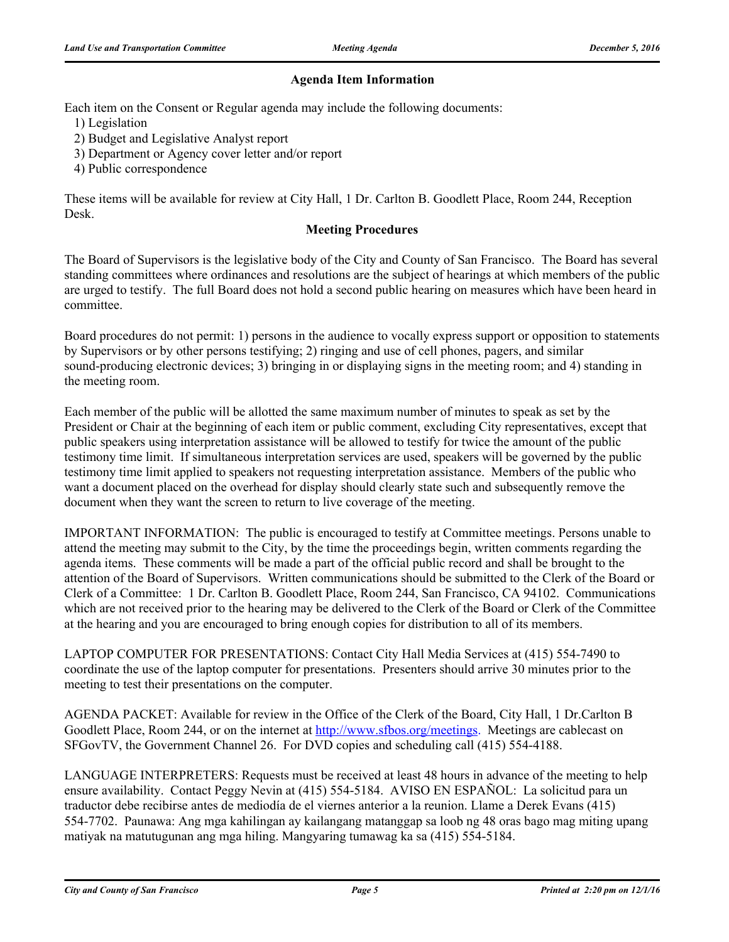### **Agenda Item Information**

Each item on the Consent or Regular agenda may include the following documents:

- 1) Legislation
- 2) Budget and Legislative Analyst report
- 3) Department or Agency cover letter and/or report
- 4) Public correspondence

These items will be available for review at City Hall, 1 Dr. Carlton B. Goodlett Place, Room 244, Reception Desk.

### **Meeting Procedures**

The Board of Supervisors is the legislative body of the City and County of San Francisco. The Board has several standing committees where ordinances and resolutions are the subject of hearings at which members of the public are urged to testify. The full Board does not hold a second public hearing on measures which have been heard in committee.

Board procedures do not permit: 1) persons in the audience to vocally express support or opposition to statements by Supervisors or by other persons testifying; 2) ringing and use of cell phones, pagers, and similar sound-producing electronic devices; 3) bringing in or displaying signs in the meeting room; and 4) standing in the meeting room.

Each member of the public will be allotted the same maximum number of minutes to speak as set by the President or Chair at the beginning of each item or public comment, excluding City representatives, except that public speakers using interpretation assistance will be allowed to testify for twice the amount of the public testimony time limit. If simultaneous interpretation services are used, speakers will be governed by the public testimony time limit applied to speakers not requesting interpretation assistance. Members of the public who want a document placed on the overhead for display should clearly state such and subsequently remove the document when they want the screen to return to live coverage of the meeting.

IMPORTANT INFORMATION: The public is encouraged to testify at Committee meetings. Persons unable to attend the meeting may submit to the City, by the time the proceedings begin, written comments regarding the agenda items. These comments will be made a part of the official public record and shall be brought to the attention of the Board of Supervisors. Written communications should be submitted to the Clerk of the Board or Clerk of a Committee: 1 Dr. Carlton B. Goodlett Place, Room 244, San Francisco, CA 94102. Communications which are not received prior to the hearing may be delivered to the Clerk of the Board or Clerk of the Committee at the hearing and you are encouraged to bring enough copies for distribution to all of its members.

LAPTOP COMPUTER FOR PRESENTATIONS: Contact City Hall Media Services at (415) 554-7490 to coordinate the use of the laptop computer for presentations. Presenters should arrive 30 minutes prior to the meeting to test their presentations on the computer.

AGENDA PACKET: Available for review in the Office of the Clerk of the Board, City Hall, 1 Dr.Carlton B Goodlett Place, Room 244, or on the internet at http://www.sfbos.org/meetings. Meetings are cablecast on SFGovTV, the Government Channel 26. For DVD copies and scheduling call (415) 554-4188.

LANGUAGE INTERPRETERS: Requests must be received at least 48 hours in advance of the meeting to help ensure availability. Contact Peggy Nevin at (415) 554-5184. AVISO EN ESPAÑOL: La solicitud para un traductor debe recibirse antes de mediodía de el viernes anterior a la reunion. Llame a Derek Evans (415) 554-7702. Paunawa: Ang mga kahilingan ay kailangang matanggap sa loob ng 48 oras bago mag miting upang matiyak na matutugunan ang mga hiling. Mangyaring tumawag ka sa (415) 554-5184.